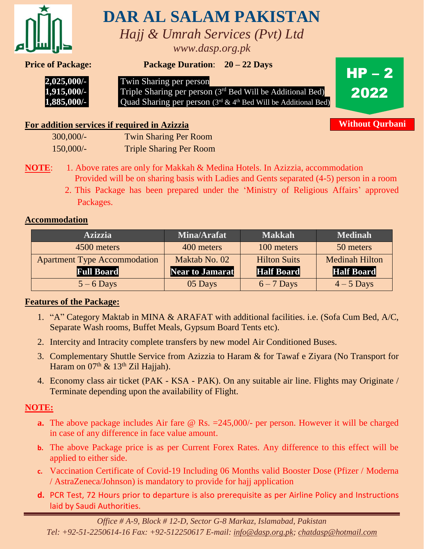

# **DAR AL SALAM PAKISTAN**

*Hajj & Umrah Services (Pvt) Ltd www.dasp.org.pk*

**Price of Package: Package Duration**: **20 – 22 Days** \



 **2,025,000/-** Twin Sharing per person<br>**1,915,000/-** Triple Sharing per person

Triple Sharing per person (3<sup>rd</sup> Bed Will be Additional Bed)  **1,885,000/-** Quad Sharing per person (3<sup>rd</sup> & 4<sup>th</sup> Bed Will be Additional Bed)



**Without Qurbani**

# **For addition services if required in Azizzia**

| 300,000/- | <b>Twin Sharing Per Room</b>   |
|-----------|--------------------------------|
| 150,000/  | <b>Triple Sharing Per Room</b> |

- **NOTE:** 1. Above rates are only for Makkah & Medina Hotels. In Azizzia, accommodation Provided will be on sharing basis with Ladies and Gents separated (4-5) person in a room
	- 2. This Package has been prepared under the 'Ministry of Religious Affairs' approved Packages.

# **Accommodation**

| <b>Azizzia</b>                      | <b>Mina/Arafat</b>     | <b>Makkah</b>       | <b>Medinah</b>        |
|-------------------------------------|------------------------|---------------------|-----------------------|
| 4500 meters                         | 400 meters             | 100 meters          | 50 meters             |
| <b>Apartment Type Accommodation</b> | Maktab No. 02          | <b>Hilton Suits</b> | <b>Medinah Hilton</b> |
| <b>Full Board</b>                   | <b>Near to Jamarat</b> | <b>Half Board</b>   | <b>Half Board</b>     |
| $5 - 6$ Days                        | 05 Days                | $6 - 7$ Days        | $4-5$ Days            |

## **Features of the Package:**

- 1. "A" Category Maktab in MINA & ARAFAT with additional facilities. i.e. (Sofa Cum Bed, A/C, Separate Wash rooms, Buffet Meals, Gypsum Board Tents etc).
- 2. Intercity and Intracity complete transfers by new model Air Conditioned Buses.
- 3. Complementary Shuttle Service from Azizzia to Haram & for Tawaf e Ziyara (No Transport for Haram on  $07<sup>th</sup>$  &  $13<sup>th</sup>$  Zil Hajjah).
- 4. Economy class air ticket (PAK KSA PAK). On any suitable air line. Flights may Originate / Terminate depending upon the availability of Flight.

# **NOTE:**

- **a.** The above package includes Air fare @ Rs. = 245,000/- per person. However it will be charged in case of any difference in face value amount.
- **b.** The above Package price is as per Current Forex Rates. Any difference to this effect will be applied to either side.
- **c.** Vaccination Certificate of Covid-19 Including 06 Months valid Booster Dose (Pfizer / Moderna / AstraZeneca/Johnson) is mandatory to provide for hajj application
- **d.** PCR Test, 72 Hours prior to departure is also prerequisite as per Airline Policy and Instructions laid by Saudi Authorities.